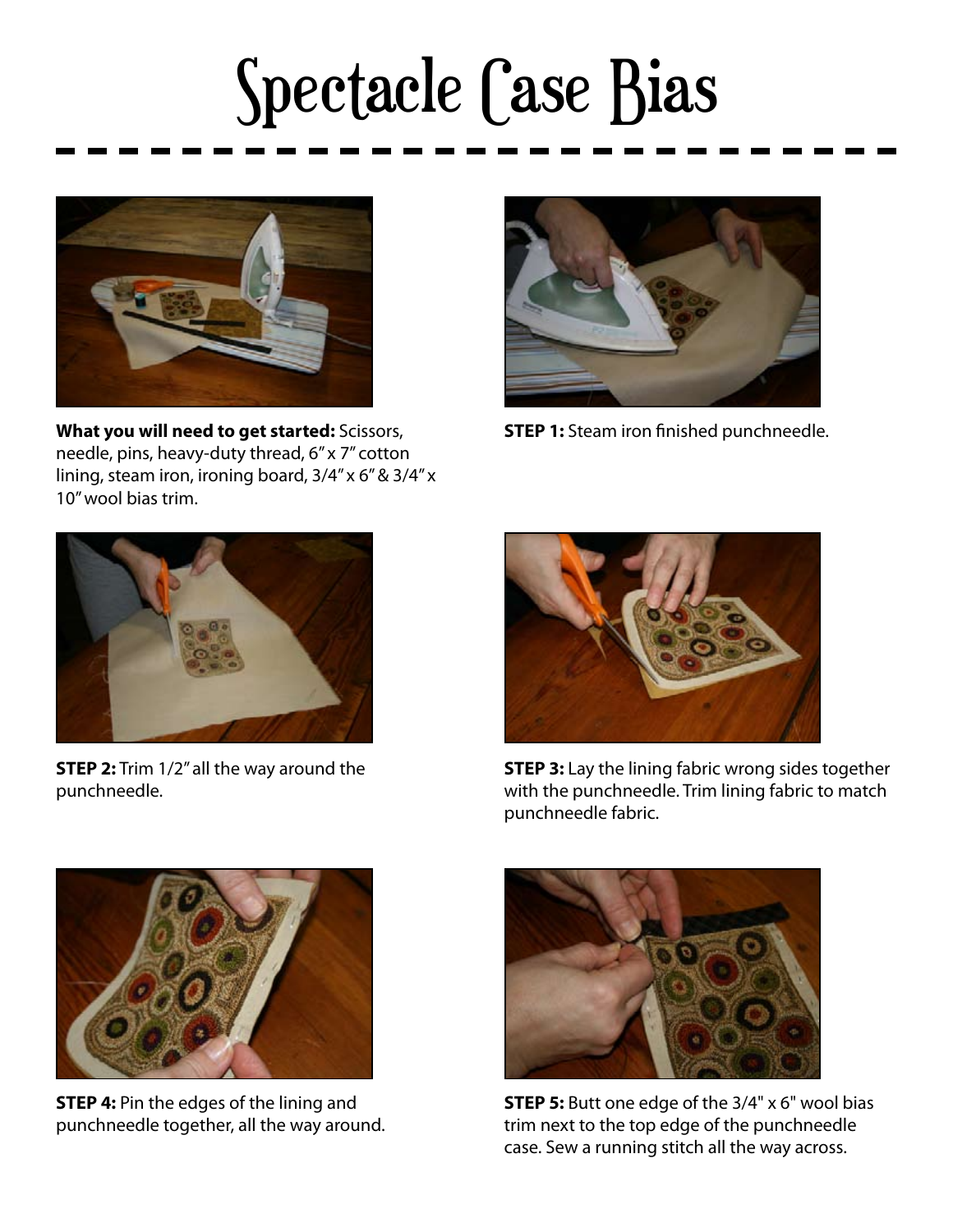## Spectacle Case Bias



**What you will need to get started:** Scissors, needle, pins, heavy-duty thread, 6" x 7" cotton lining, steam iron, ironing board, 3/4" x 6" & 3/4" x 10" wool bias trim.



**STEP 1:** Steam iron finished punchneedle.



**STEP 2:** Trim 1/2" all the way around the punchneedle.



**STEP 3:** Lay the lining fabric wrong sides together with the punchneedle. Trim lining fabric to match punchneedle fabric.



**STEP 4:** Pin the edges of the lining and punchneedle together, all the way around.



**STEP 5:** Butt one edge of the 3/4" x 6" wool bias trim next to the top edge of the punchneedle case. Sew a running stitch all the way across.